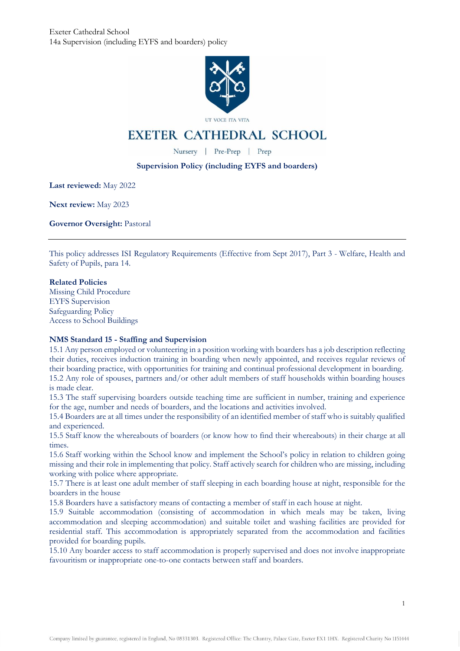

UT VOCE ITA VITA

# **EXETER CATHEDRAL SCHOOL**

Nursery | Pre-Prep | Prep

# **Supervision Policy (including EYFS and boarders)**

**Last reviewed:** May 2022

**Next review:** May 2023

**Governor Oversight:** Pastoral

This policy addresses ISI Regulatory Requirements (Effective from Sept 2017), Part 3 - Welfare, Health and Safety of Pupils, para 14.

## **Related Policies**

Missing Child Procedure EYFS Supervision Safeguarding Policy Access to School Buildings

## **NMS Standard 15 - Staffing and Supervision**

15.1 Any person employed or volunteering in a position working with boarders has a job description reflecting their duties, receives induction training in boarding when newly appointed, and receives regular reviews of their boarding practice, with opportunities for training and continual professional development in boarding. 15.2 Any role of spouses, partners and/or other adult members of staff households within boarding houses is made clear.

15.3 The staff supervising boarders outside teaching time are sufficient in number, training and experience for the age, number and needs of boarders, and the locations and activities involved.

15.4 Boarders are at all times under the responsibility of an identified member of staff who is suitably qualified and experienced.

15.5 Staff know the whereabouts of boarders (or know how to find their whereabouts) in their charge at all times.

15.6 Staff working within the School know and implement the School's policy in relation to children going missing and their role in implementing that policy. Staff actively search for children who are missing, including working with police where appropriate.

15.7 There is at least one adult member of staff sleeping in each boarding house at night, responsible for the boarders in the house

15.8 Boarders have a satisfactory means of contacting a member of staff in each house at night.

15.9 Suitable accommodation (consisting of accommodation in which meals may be taken, living accommodation and sleeping accommodation) and suitable toilet and washing facilities are provided for residential staff. This accommodation is appropriately separated from the accommodation and facilities provided for boarding pupils.

15.10 Any boarder access to staff accommodation is properly supervised and does not involve inappropriate favouritism or inappropriate one-to-one contacts between staff and boarders.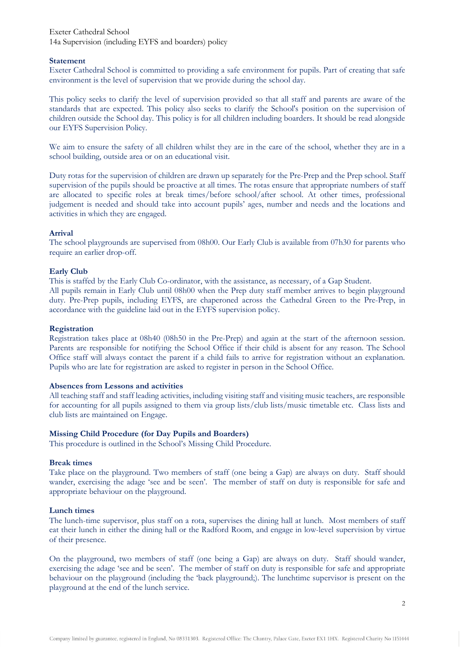Exeter Cathedral School 14a Supervision (including EYFS and boarders) policy

#### **Statement**

Exeter Cathedral School is committed to providing a safe environment for pupils. Part of creating that safe environment is the level of supervision that we provide during the school day.

This policy seeks to clarify the level of supervision provided so that all staff and parents are aware of the standards that are expected. This policy also seeks to clarify the School's position on the supervision of children outside the School day. This policy is for all children including boarders. It should be read alongside our EYFS Supervision Policy.

We aim to ensure the safety of all children whilst they are in the care of the school, whether they are in a school building, outside area or on an educational visit.

Duty rotas for the supervision of children are drawn up separately for the Pre-Prep and the Prep school. Staff supervision of the pupils should be proactive at all times. The rotas ensure that appropriate numbers of staff are allocated to specific roles at break times/before school/after school. At other times, professional judgement is needed and should take into account pupils' ages, number and needs and the locations and activities in which they are engaged.

#### **Arrival**

The school playgrounds are supervised from 08h00. Our Early Club is available from 07h30 for parents who require an earlier drop-off.

#### **Early Club**

This is staffed by the Early Club Co-ordinator, with the assistance, as necessary, of a Gap Student.

All pupils remain in Early Club until 08h00 when the Prep duty staff member arrives to begin playground duty. Pre-Prep pupils, including EYFS, are chaperoned across the Cathedral Green to the Pre-Prep, in accordance with the guideline laid out in the EYFS supervision policy.

#### **Registration**

Registration takes place at 08h40 (08h50 in the Pre-Prep) and again at the start of the afternoon session. Parents are responsible for notifying the School Office if their child is absent for any reason. The School Office staff will always contact the parent if a child fails to arrive for registration without an explanation. Pupils who are late for registration are asked to register in person in the School Office.

#### **Absences from Lessons and activities**

All teaching staff and staff leading activities, including visiting staff and visiting music teachers, are responsible for accounting for all pupils assigned to them via group lists/club lists/music timetable etc. Class lists and club lists are maintained on Engage.

## **Missing Child Procedure (for Day Pupils and Boarders)**

This procedure is outlined in the School's Missing Child Procedure.

#### **Break times**

Take place on the playground. Two members of staff (one being a Gap) are always on duty. Staff should wander, exercising the adage 'see and be seen'. The member of staff on duty is responsible for safe and appropriate behaviour on the playground.

#### **Lunch times**

The lunch-time supervisor, plus staff on a rota, supervises the dining hall at lunch. Most members of staff eat their lunch in either the dining hall or the Radford Room, and engage in low-level supervision by virtue of their presence.

On the playground, two members of staff (one being a Gap) are always on duty. Staff should wander, exercising the adage 'see and be seen'. The member of staff on duty is responsible for safe and appropriate behaviour on the playground (including the 'back playground;). The lunchtime supervisor is present on the playground at the end of the lunch service.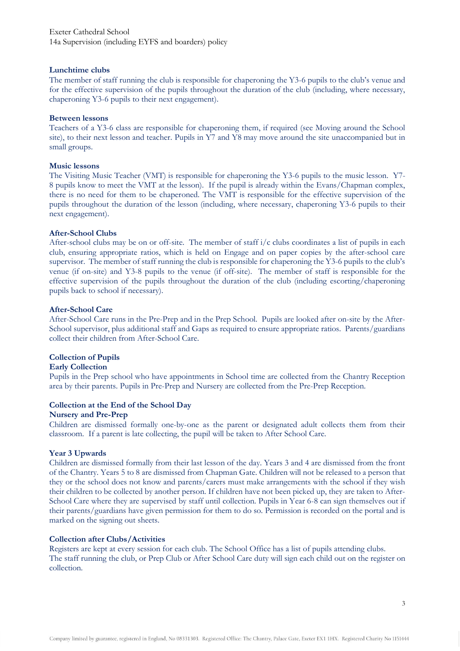#### **Lunchtime clubs**

The member of staff running the club is responsible for chaperoning the Y3-6 pupils to the club's venue and for the effective supervision of the pupils throughout the duration of the club (including, where necessary, chaperoning Y3-6 pupils to their next engagement).

#### **Between lessons**

Teachers of a Y3-6 class are responsible for chaperoning them, if required (see Moving around the School site), to their next lesson and teacher. Pupils in Y7 and Y8 may move around the site unaccompanied but in small groups.

#### **Music lessons**

The Visiting Music Teacher (VMT) is responsible for chaperoning the Y3-6 pupils to the music lesson. Y7- 8 pupils know to meet the VMT at the lesson). If the pupil is already within the Evans/Chapman complex, there is no need for them to be chaperoned. The VMT is responsible for the effective supervision of the pupils throughout the duration of the lesson (including, where necessary, chaperoning Y3-6 pupils to their next engagement).

#### **After-School Clubs**

After-school clubs may be on or off-site. The member of staff  $i/c$  clubs coordinates a list of pupils in each club, ensuring appropriate ratios, which is held on Engage and on paper copies by the after-school care supervisor. The member of staff running the club is responsible for chaperoning the Y3-6 pupils to the club's venue (if on-site) and Y3-8 pupils to the venue (if off-site). The member of staff is responsible for the effective supervision of the pupils throughout the duration of the club (including escorting/chaperoning pupils back to school if necessary).

#### **After-School Care**

After-School Care runs in the Pre-Prep and in the Prep School. Pupils are looked after on-site by the After-School supervisor, plus additional staff and Gaps as required to ensure appropriate ratios. Parents/guardians collect their children from After-School Care.

## **Collection of Pupils**

#### **Early Collection**

Pupils in the Prep school who have appointments in School time are collected from the Chantry Reception area by their parents. Pupils in Pre-Prep and Nursery are collected from the Pre-Prep Reception.

## **Collection at the End of the School Day**

#### **Nursery and Pre-Prep**

Children are dismissed formally one-by-one as the parent or designated adult collects them from their classroom. If a parent is late collecting, the pupil will be taken to After School Care.

## **Year 3 Upwards**

Children are dismissed formally from their last lesson of the day. Years 3 and 4 are dismissed from the front of the Chantry. Years 5 to 8 are dismissed from Chapman Gate. Children will not be released to a person that they or the school does not know and parents/carers must make arrangements with the school if they wish their children to be collected by another person. If children have not been picked up, they are taken to After-School Care where they are supervised by staff until collection. Pupils in Year 6-8 can sign themselves out if their parents/guardians have given permission for them to do so. Permission is recorded on the portal and is marked on the signing out sheets.

## **Collection after Clubs/Activities**

Registers are kept at every session for each club. The School Office has a list of pupils attending clubs. The staff running the club, or Prep Club or After School Care duty will sign each child out on the register on collection.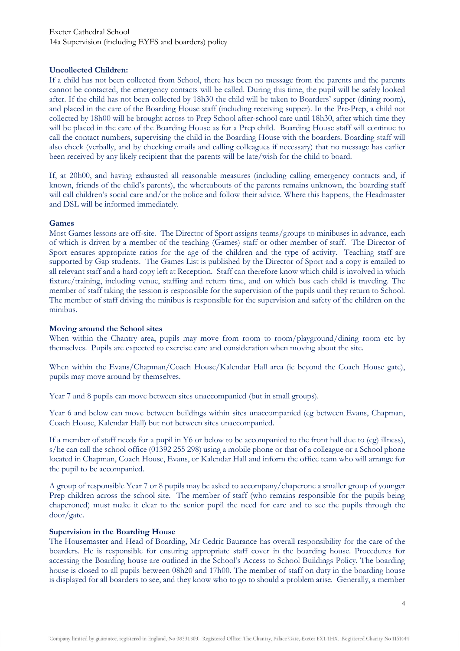## **Uncollected Children:**

If a child has not been collected from School, there has been no message from the parents and the parents cannot be contacted, the emergency contacts will be called. During this time, the pupil will be safely looked after. If the child has not been collected by 18h30 the child will be taken to Boarders' supper (dining room), and placed in the care of the Boarding House staff (including receiving supper). In the Pre-Prep, a child not collected by 18h00 will be brought across to Prep School after-school care until 18h30, after which time they will be placed in the care of the Boarding House as for a Prep child. Boarding House staff will continue to call the contact numbers, supervising the child in the Boarding House with the boarders. Boarding staff will also check (verbally, and by checking emails and calling colleagues if necessary) that no message has earlier been received by any likely recipient that the parents will be late/wish for the child to board.

If, at 20h00, and having exhausted all reasonable measures (including calling emergency contacts and, if known, friends of the child's parents), the whereabouts of the parents remains unknown, the boarding staff will call children's social care and/or the police and follow their advice. Where this happens, the Headmaster and DSL will be informed immediately.

## **Games**

Most Games lessons are off-site. The Director of Sport assigns teams/groups to minibuses in advance, each of which is driven by a member of the teaching (Games) staff or other member of staff. The Director of Sport ensures appropriate ratios for the age of the children and the type of activity. Teaching staff are supported by Gap students. The Games List is published by the Director of Sport and a copy is emailed to all relevant staff and a hard copy left at Reception. Staff can therefore know which child is involved in which fixture/training, including venue, staffing and return time, and on which bus each child is traveling. The member of staff taking the session is responsible for the supervision of the pupils until they return to School. The member of staff driving the minibus is responsible for the supervision and safety of the children on the minibus.

#### **Moving around the School sites**

When within the Chantry area, pupils may move from room to room/playground/dining room etc by themselves. Pupils are expected to exercise care and consideration when moving about the site.

When within the Evans/Chapman/Coach House/Kalendar Hall area (ie beyond the Coach House gate), pupils may move around by themselves.

Year 7 and 8 pupils can move between sites unaccompanied (but in small groups).

Year 6 and below can move between buildings within sites unaccompanied (eg between Evans, Chapman, Coach House, Kalendar Hall) but not between sites unaccompanied.

If a member of staff needs for a pupil in Y6 or below to be accompanied to the front hall due to (eg) illness), s/he can call the school office (01392 255 298) using a mobile phone or that of a colleague or a School phone located in Chapman, Coach House, Evans, or Kalendar Hall and inform the office team who will arrange for the pupil to be accompanied.

A group of responsible Year 7 or 8 pupils may be asked to accompany/chaperone a smaller group of younger Prep children across the school site. The member of staff (who remains responsible for the pupils being chaperoned) must make it clear to the senior pupil the need for care and to see the pupils through the door/gate.

## **Supervision in the Boarding House**

The Housemaster and Head of Boarding, Mr Cedric Baurance has overall responsibility for the care of the boarders. He is responsible for ensuring appropriate staff cover in the boarding house. Procedures for accessing the Boarding house are outlined in the School's Access to School Buildings Policy. The boarding house is closed to all pupils between 08h20 and 17h00. The member of staff on duty in the boarding house is displayed for all boarders to see, and they know who to go to should a problem arise. Generally, a member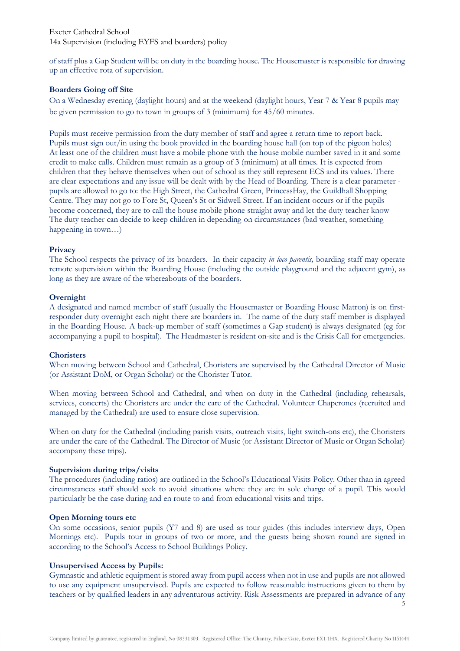of staff plus a Gap Student will be on duty in the boarding house. The Housemaster is responsible for drawing up an effective rota of supervision.

## **Boarders Going off Site**

On a Wednesday evening (daylight hours) and at the weekend (daylight hours, Year 7 & Year 8 pupils may be given permission to go to town in groups of 3 (minimum) for 45/60 minutes.

Pupils must receive permission from the duty member of staff and agree a return time to report back. Pupils must sign out/in using the book provided in the boarding house hall (on top of the pigeon holes) At least one of the children must have a mobile phone with the house mobile number saved in it and some credit to make calls. Children must remain as a group of 3 (minimum) at all times. It is expected from children that they behave themselves when out of school as they still represent ECS and its values. There are clear expectations and any issue will be dealt with by the Head of Boarding. There is a clear parameter pupils are allowed to go to: the High Street, the Cathedral Green, PrincessHay, the Guildhall Shopping Centre. They may not go to Fore St, Queen's St or Sidwell Street. If an incident occurs or if the pupils become concerned, they are to call the house mobile phone straight away and let the duty teacher know The duty teacher can decide to keep children in depending on circumstances (bad weather, something happening in town...)

## **Privacy**

The School respects the privacy of its boarders. In their capacity *in loco parentis,* boarding staff may operate remote supervision within the Boarding House (including the outside playground and the adjacent gym), as long as they are aware of the whereabouts of the boarders.

## **Overnight**

A designated and named member of staff (usually the Housemaster or Boarding House Matron) is on firstresponder duty overnight each night there are boarders in. The name of the duty staff member is displayed in the Boarding House. A back-up member of staff (sometimes a Gap student) is always designated (eg for accompanying a pupil to hospital). The Headmaster is resident on-site and is the Crisis Call for emergencies.

## **Choristers**

When moving between School and Cathedral, Choristers are supervised by the Cathedral Director of Music (or Assistant DoM, or Organ Scholar) or the Chorister Tutor.

When moving between School and Cathedral, and when on duty in the Cathedral (including rehearsals, services, concerts) the Choristers are under the care of the Cathedral. Volunteer Chaperones (recruited and managed by the Cathedral) are used to ensure close supervision.

When on duty for the Cathedral (including parish visits, outreach visits, light switch-ons etc), the Choristers are under the care of the Cathedral. The Director of Music (or Assistant Director of Music or Organ Scholar) accompany these trips).

# **Supervision during trips/visits**

The procedures (including ratios) are outlined in the School's Educational Visits Policy. Other than in agreed circumstances staff should seek to avoid situations where they are in sole charge of a pupil. This would particularly be the case during and en route to and from educational visits and trips.

## **Open Morning tours etc**

On some occasions, senior pupils (Y7 and 8) are used as tour guides (this includes interview days, Open Mornings etc). Pupils tour in groups of two or more, and the guests being shown round are signed in according to the School's Access to School Buildings Policy.

# **Unsupervised Access by Pupils:**

Gymnastic and athletic equipment is stored away from pupil access when not in use and pupils are not allowed to use any equipment unsupervised. Pupils are expected to follow reasonable instructions given to them by teachers or by qualified leaders in any adventurous activity. Risk Assessments are prepared in advance of any

5